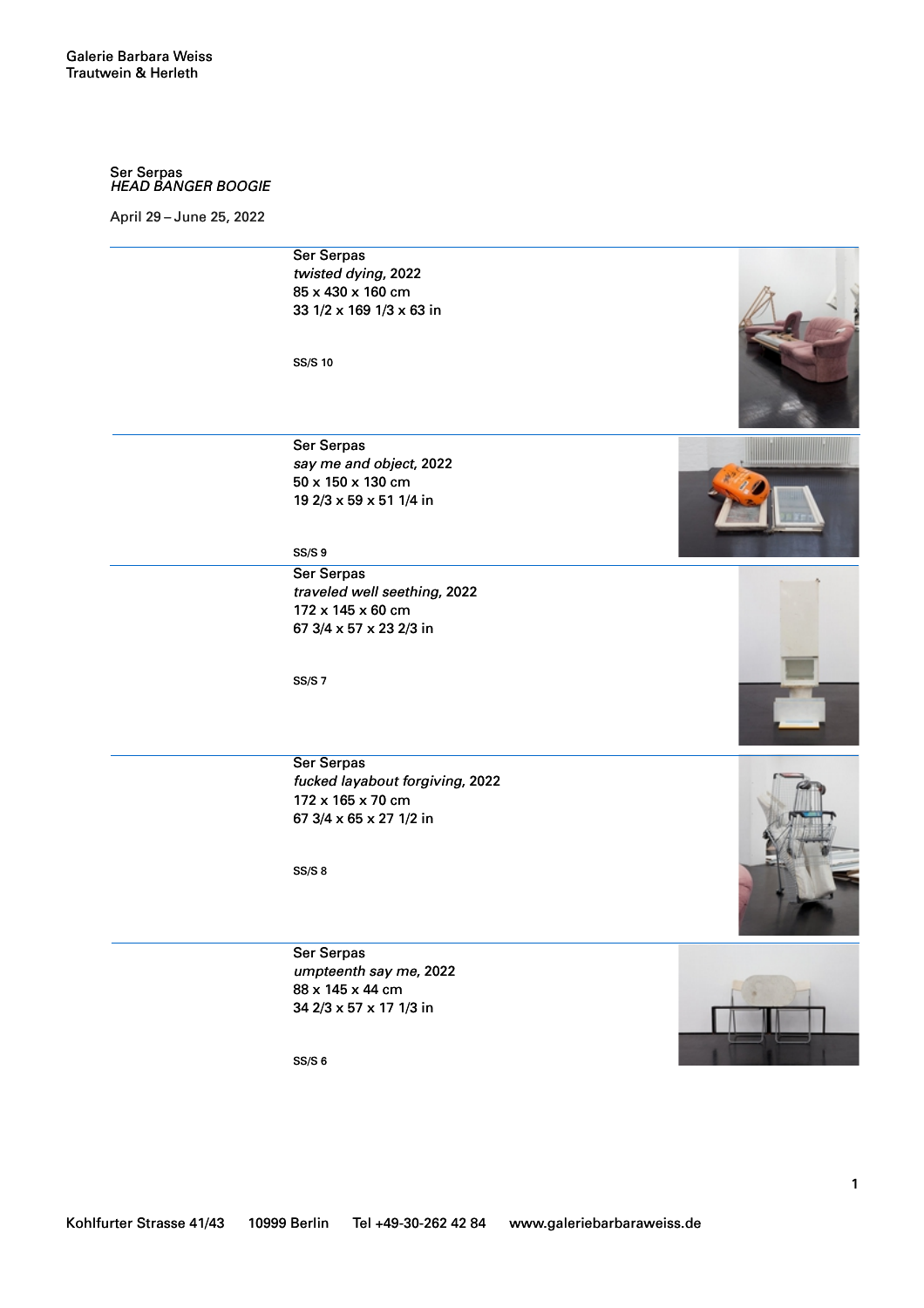## Ser Serpas *HEAD BANGER BOOGIE*

April 29 – June 25, 2022    

Ser Serpas *twisted dying*, 2022 85 x 430 x 160 cm 33 1/2 x 169 1/3 x 63 in

SS/S 10

Ser Serpas *say me and object*, 2022 50 x 150 x 130 cm 19 2/3 x 59 x 51 1/4 in

SS/S 9

Ser Serpas *traveled well seething*, 2022 172 x 145 x 60 cm 67 3/4 x 57 x 23 2/3 in

SS/S 7





Ser Serpas *fucked layabout forgiving*, 2022 172 x 165 x 70 cm 67 3/4 x 65 x 27 1/2 in

SS/S 8

Ser Serpas *umpteenth say me*, 2022 88 x 145 x 44 cm 34 2/3 x 57 x 17 1/3 in



1

SS/S 6